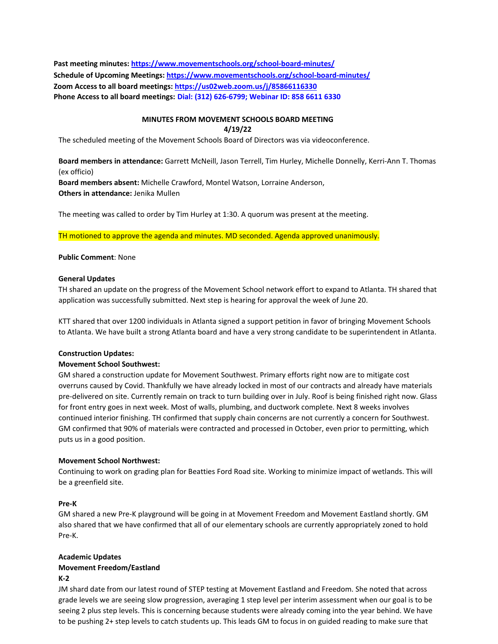**Past meeting minutes[: https://www.movementschools.org/school-board-minutes/](https://www.movementschools.org/school-board-minutes/) Schedule of Upcoming Meetings:<https://www.movementschools.org/school-board-minutes/> Zoom Access to all board meetings:<https://us02web.zoom.us/j/85866116330> Phone Access to all board meetings: Dial: (312) 626-6799; Webinar ID: 858 6611 6330**

#### **MINUTES FROM MOVEMENT SCHOOLS BOARD MEETING 4/19/22**

The scheduled meeting of the Movement Schools Board of Directors was via videoconference.

**Board members in attendance:** Garrett McNeill, Jason Terrell, Tim Hurley, Michelle Donnelly, Kerri-Ann T. Thomas (ex officio) **Board members absent:** Michelle Crawford, Montel Watson, Lorraine Anderson,

**Others in attendance:** Jenika Mullen

The meeting was called to order by Tim Hurley at 1:30. A quorum was present at the meeting.

TH motioned to approve the agenda and minutes. MD seconded. Agenda approved unanimously.

# **Public Comment**: None

#### **General Updates**

TH shared an update on the progress of the Movement School network effort to expand to Atlanta. TH shared that application was successfully submitted. Next step is hearing for approval the week of June 20.

KTT shared that over 1200 individuals in Atlanta signed a support petition in favor of bringing Movement Schools to Atlanta. We have built a strong Atlanta board and have a very strong candidate to be superintendent in Atlanta.

#### **Construction Updates:**

# **Movement School Southwest:**

GM shared a construction update for Movement Southwest. Primary efforts right now are to mitigate cost overruns caused by Covid. Thankfully we have already locked in most of our contracts and already have materials pre-delivered on site. Currently remain on track to turn building over in July. Roof is being finished right now. Glass for front entry goes in next week. Most of walls, plumbing, and ductwork complete. Next 8 weeks involves continued interior finishing. TH confirmed that supply chain concerns are not currently a concern for Southwest. GM confirmed that 90% of materials were contracted and processed in October, even prior to permitting, which puts us in a good position.

# **Movement School Northwest:**

Continuing to work on grading plan for Beatties Ford Road site. Working to minimize impact of wetlands. This will be a greenfield site.

# **Pre-K**

GM shared a new Pre-K playground will be going in at Movement Freedom and Movement Eastland shortly. GM also shared that we have confirmed that all of our elementary schools are currently appropriately zoned to hold Pre-K.

# **Academic Updates**

# **Movement Freedom/Eastland**

#### **K-2**

JM shard date from our latest round of STEP testing at Movement Eastland and Freedom. She noted that across grade levels we are seeing slow progression, averaging 1 step level per interim assessment when our goal is to be seeing 2 plus step levels. This is concerning because students were already coming into the year behind. We have to be pushing 2+ step levels to catch students up. This leads GM to focus in on guided reading to make sure that